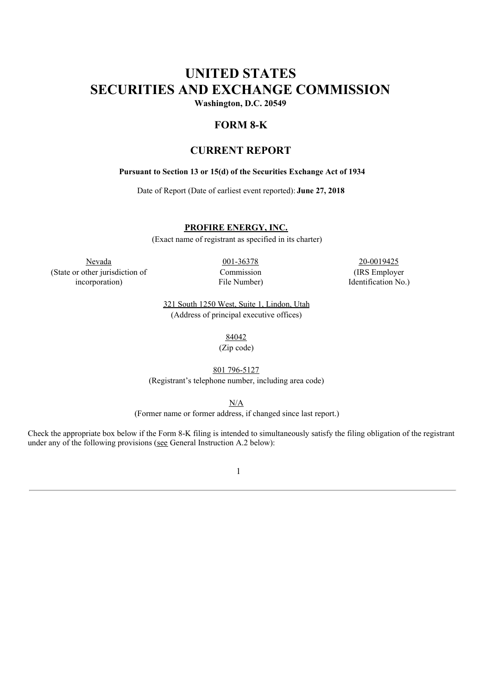# **UNITED STATES SECURITIES AND EXCHANGE COMMISSION**

**Washington, D.C. 20549**

## **FORM 8-K**

# **CURRENT REPORT**

#### **Pursuant to Section 13 or 15(d) of the Securities Exchange Act of 1934**

Date of Report (Date of earliest event reported): **June 27, 2018**

**PROFIRE ENERGY, INC.**

(Exact name of registrant as specified in its charter)

Nevada 20-0019425 (State or other jurisdiction of incorporation)

Commission File Number)

(IRS Employer Identification No.)

321 South 1250 West, Suite 1, Lindon, Utah (Address of principal executive offices)

84042

(Zip code)

801 796-5127

(Registrant's telephone number, including area code)

N/A

(Former name or former address, if changed since last report.)

Check the appropriate box below if the Form 8-K filing is intended to simultaneously satisfy the filing obligation of the registrant under any of the following provisions (see General Instruction A.2 below):

1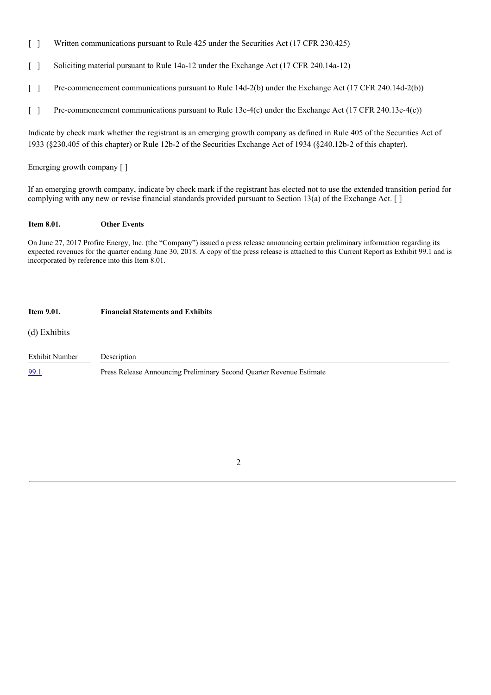- [ ] Written communications pursuant to Rule 425 under the Securities Act (17 CFR 230.425)
- [ ] Soliciting material pursuant to Rule 14a-12 under the Exchange Act (17 CFR 240.14a-12)
- [ ] Pre-commencement communications pursuant to Rule 14d-2(b) under the Exchange Act (17 CFR 240.14d-2(b))

[ ] Pre-commencement communications pursuant to Rule 13e-4(c) under the Exchange Act (17 CFR 240.13e-4(c))

Indicate by check mark whether the registrant is an emerging growth company as defined in Rule 405 of the Securities Act of 1933 (§230.405 of this chapter) or Rule 12b-2 of the Securities Exchange Act of 1934 (§240.12b-2 of this chapter).

Emerging growth company [ ]

If an emerging growth company, indicate by check mark if the registrant has elected not to use the extended transition period for complying with any new or revise financial standards provided pursuant to Section 13(a) of the Exchange Act. [ ]

#### **Item 8.01. Other Events**

On June 27, 2017 Profire Energy, Inc. (the "Company") issued a press release announcing certain preliminary information regarding its expected revenues for the quarter ending June 30, 2018. A copy of the press release is attached to this Current Report as Exhibit 99.1 and is incorporated by reference into this Item 8.01.

#### **Item 9.01. Financial Statements and Exhibits**

(d) Exhibits

Exhibit Number Description 99.1 Press Release Announcing Preliminary Second Quarter Revenue Estimate

2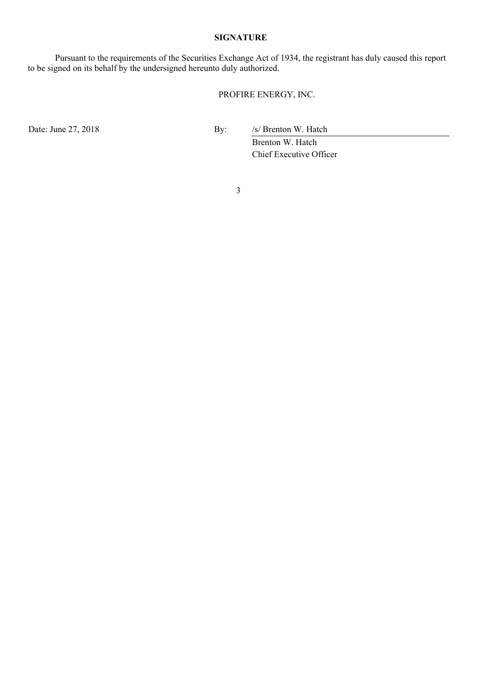#### **SIGNATURE**

Pursuant to the requirements of the Securities Exchange Act of 1934, the registrant has duly caused this report to be signed on its behalf by the undersigned hereunto duly authorized.

# PROFIRE ENERGY, INC.

Date: June 27, 2018 By: /s/ Brenton W. Hatch

Brenton W. Hatch Chief Executive Officer

3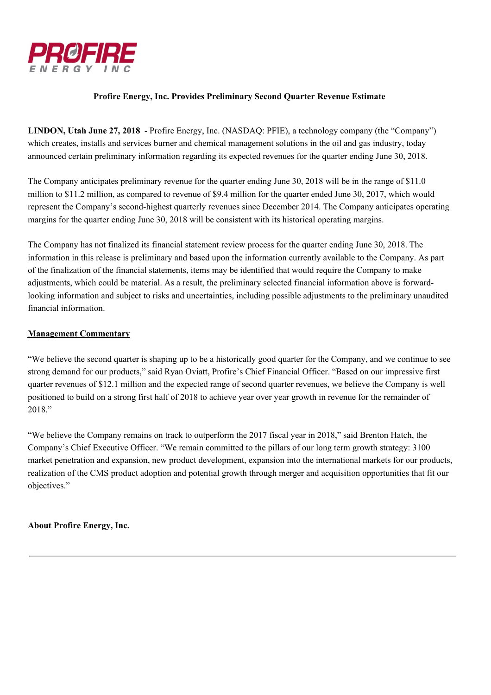

## **Profire Energy, Inc. Provides Preliminary Second Quarter Revenue Estimate**

**LINDON, Utah June 27, 2018** - Profire Energy, Inc. (NASDAQ: PFIE), a technology company (the "Company") which creates, installs and services burner and chemical management solutions in the oil and gas industry, today announced certain preliminary information regarding its expected revenues for the quarter ending June 30, 2018.

The Company anticipates preliminary revenue for the quarter ending June 30, 2018 will be in the range of \$11.0 million to \$11.2 million, as compared to revenue of \$9.4 million for the quarter ended June 30, 2017, which would represent the Company's second-highest quarterly revenues since December 2014. The Company anticipates operating margins for the quarter ending June 30, 2018 will be consistent with its historical operating margins.

The Company has not finalized its financial statement review process for the quarter ending June 30, 2018. The information in this release is preliminary and based upon the information currently available to the Company. As part of the finalization of the financial statements, items may be identified that would require the Company to make adjustments, which could be material. As a result, the preliminary selected financial information above is forwardlooking information and subject to risks and uncertainties, including possible adjustments to the preliminary unaudited financial information.

## **Management Commentary**

"We believe the second quarter is shaping up to be a historically good quarter for the Company, and we continue to see strong demand for our products," said Ryan Oviatt, Profire's Chief Financial Officer. "Based on our impressive first quarter revenues of \$12.1 million and the expected range of second quarter revenues, we believe the Company is well positioned to build on a strong first half of 2018 to achieve year over year growth in revenue for the remainder of 2018."

"We believe the Company remains on track to outperform the 2017 fiscal year in 2018," said Brenton Hatch, the Company's Chief Executive Officer. "We remain committed to the pillars of our long term growth strategy: 3100 market penetration and expansion, new product development, expansion into the international markets for our products, realization of the CMS product adoption and potential growth through merger and acquisition opportunities that fit our objectives."

**About Profire Energy, Inc.**